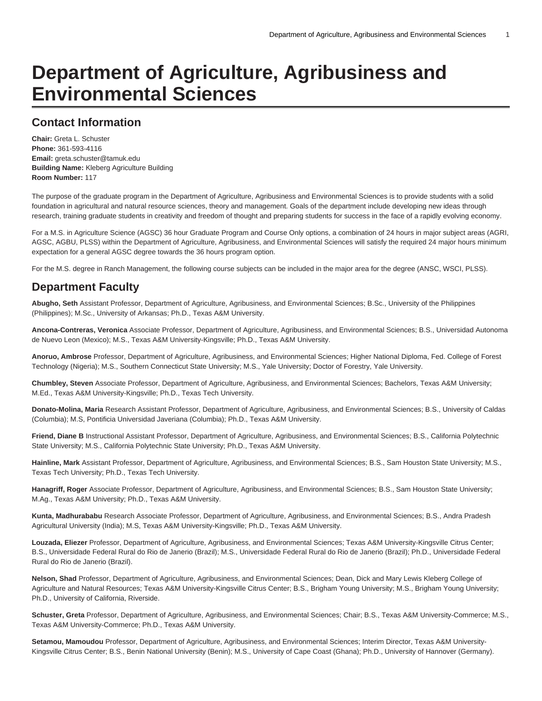# **Department of Agriculture, Agribusiness and Environmental Sciences**

# **Contact Information**

**Chair:** Greta L. Schuster **Phone:** 361-593-4116 **Email:** [greta.schuster@tamuk.edu](mailto:greta.schuster@tamuk.edu) **Building Name:** Kleberg Agriculture Building **Room Number:** 117

The purpose of the graduate program in the Department of Agriculture, Agribusiness and Environmental Sciences is to provide students with a solid foundation in agricultural and natural resource sciences, theory and management. Goals of the department include developing new ideas through research, training graduate students in creativity and freedom of thought and preparing students for success in the face of a rapidly evolving economy.

For a M.S. in Agriculture Science (AGSC) 36 hour Graduate Program and Course Only options, a combination of 24 hours in major subject areas (AGRI, AGSC, AGBU, PLSS) within the Department of Agriculture, Agribusiness, and Environmental Sciences will satisfy the required 24 major hours minimum expectation for a general AGSC degree towards the 36 hours program option.

For the M.S. degree in Ranch Management, the following course subjects can be included in the major area for the degree (ANSC, WSCI, PLSS).

# **Department Faculty**

**Abugho, Seth** Assistant Professor, Department of Agriculture, Agribusiness, and Environmental Sciences; B.Sc., University of the Philippines (Philippines); M.Sc., University of Arkansas; Ph.D., Texas A&M University.

**Ancona-Contreras, Veronica** Associate Professor, Department of Agriculture, Agribusiness, and Environmental Sciences; B.S., Universidad Autonoma de Nuevo Leon (Mexico); M.S., Texas A&M University-Kingsville; Ph.D., Texas A&M University.

**Anoruo, Ambrose** Professor, Department of Agriculture, Agribusiness, and Environmental Sciences; Higher National Diploma, Fed. College of Forest Technology (Nigeria); M.S., Southern Connecticut State University; M.S., Yale University; Doctor of Forestry, Yale University.

**Chumbley, Steven** Associate Professor, Department of Agriculture, Agribusiness, and Environmental Sciences; Bachelors, Texas A&M University; M.Ed., Texas A&M University-Kingsville; Ph.D., Texas Tech University.

**Donato-Molina, Maria** Research Assistant Professor, Department of Agriculture, Agribusiness, and Environmental Sciences; B.S., University of Caldas (Columbia); M.S, Pontificia Universidad Javeriana (Columbia); Ph.D., Texas A&M University.

**Friend, Diane B** Instructional Assistant Professor, Department of Agriculture, Agribusiness, and Environmental Sciences; B.S., California Polytechnic State University; M.S., California Polytechnic State University; Ph.D., Texas A&M University.

**Hainline, Mark** Assistant Professor, Department of Agriculture, Agribusiness, and Environmental Sciences; B.S., Sam Houston State University; M.S., Texas Tech University; Ph.D., Texas Tech University.

**Hanagriff, Roger** Associate Professor, Department of Agriculture, Agribusiness, and Environmental Sciences; B.S., Sam Houston State University; M.Ag., Texas A&M University; Ph.D., Texas A&M University.

**Kunta, Madhurababu** Research Associate Professor, Department of Agriculture, Agribusiness, and Environmental Sciences; B.S., Andra Pradesh Agricultural University (India); M.S, Texas A&M University-Kingsville; Ph.D., Texas A&M University.

**Louzada, Eliezer** Professor, Department of Agriculture, Agribusiness, and Environmental Sciences; Texas A&M University-Kingsville Citrus Center; B.S., Universidade Federal Rural do Rio de Janerio (Brazil); M.S., Universidade Federal Rural do Rio de Janerio (Brazil); Ph.D., Universidade Federal Rural do Rio de Janerio (Brazil).

**Nelson, Shad** Professor, Department of Agriculture, Agribusiness, and Environmental Sciences; Dean, Dick and Mary Lewis Kleberg College of Agriculture and Natural Resources; Texas A&M University-Kingsville Citrus Center; B.S., Brigham Young University; M.S., Brigham Young University; Ph.D., University of California, Riverside.

**Schuster, Greta** Professor, Department of Agriculture, Agribusiness, and Environmental Sciences; Chair; B.S., Texas A&M University-Commerce; M.S., Texas A&M University-Commerce; Ph.D., Texas A&M University.

**Setamou, Mamoudou** Professor, Department of Agriculture, Agribusiness, and Environmental Sciences; Interim Director, Texas A&M University-Kingsville Citrus Center; B.S., Benin National University (Benin); M.S., University of Cape Coast (Ghana); Ph.D., University of Hannover (Germany).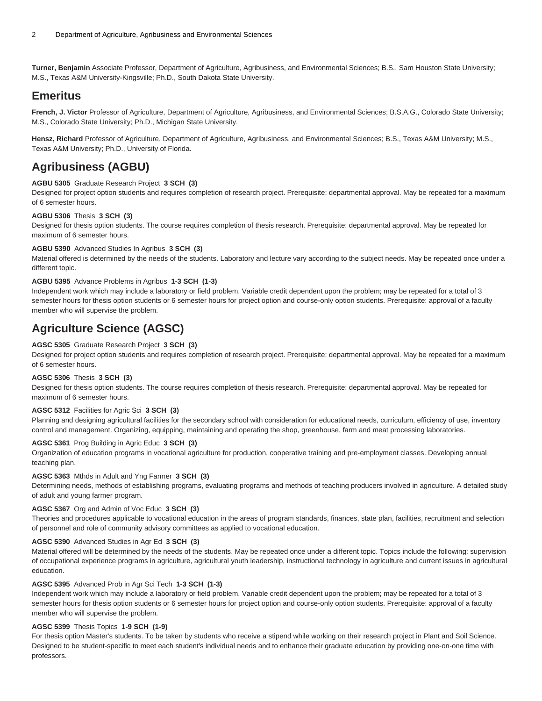**Turner, Benjamin** Associate Professor, Department of Agriculture, Agribusiness, and Environmental Sciences; B.S., Sam Houston State University; M.S., Texas A&M University-Kingsville; Ph.D., South Dakota State University.

## **Emeritus**

**French, J. Victor** Professor of Agriculture, Department of Agriculture, Agribusiness, and Environmental Sciences; B.S.A.G., Colorado State University; M.S., Colorado State University; Ph.D., Michigan State University.

**Hensz, Richard** Professor of Agriculture, Department of Agriculture, Agribusiness, and Environmental Sciences; B.S., Texas A&M University; M.S., Texas A&M University; Ph.D., University of Florida.

# **Agribusiness (AGBU)**

#### **AGBU 5305** Graduate Research Project **3 SCH (3)**

Designed for project option students and requires completion of research project. Prerequisite: departmental approval. May be repeated for a maximum of 6 semester hours.

#### **AGBU 5306** Thesis **3 SCH (3)**

Designed for thesis option students. The course requires completion of thesis research. Prerequisite: departmental approval. May be repeated for maximum of 6 semester hours.

#### **AGBU 5390** Advanced Studies In Agribus **3 SCH (3)**

Material offered is determined by the needs of the students. Laboratory and lecture vary according to the subject needs. May be repeated once under a different topic.

#### **AGBU 5395** Advance Problems in Agribus **1-3 SCH (1-3)**

Independent work which may include a laboratory or field problem. Variable credit dependent upon the problem; may be repeated for a total of 3 semester hours for thesis option students or 6 semester hours for project option and course-only option students. Prerequisite: approval of a faculty member who will supervise the problem.

# **Agriculture Science (AGSC)**

#### **AGSC 5305** Graduate Research Project **3 SCH (3)**

Designed for project option students and requires completion of research project. Prerequisite: departmental approval. May be repeated for a maximum of 6 semester hours.

#### **AGSC 5306** Thesis **3 SCH (3)**

Designed for thesis option students. The course requires completion of thesis research. Prerequisite: departmental approval. May be repeated for maximum of 6 semester hours.

#### **AGSC 5312** Facilities for Agric Sci **3 SCH (3)**

Planning and designing agricultural facilities for the secondary school with consideration for educational needs, curriculum, efficiency of use, inventory control and management. Organizing, equipping, maintaining and operating the shop, greenhouse, farm and meat processing laboratories.

#### **AGSC 5361** Prog Building in Agric Educ **3 SCH (3)**

Organization of education programs in vocational agriculture for production, cooperative training and pre-employment classes. Developing annual teaching plan.

#### **AGSC 5363** Mthds in Adult and Yng Farmer **3 SCH (3)**

Determining needs, methods of establishing programs, evaluating programs and methods of teaching producers involved in agriculture. A detailed study of adult and young farmer program.

#### **AGSC 5367** Org and Admin of Voc Educ **3 SCH (3)**

Theories and procedures applicable to vocational education in the areas of program standards, finances, state plan, facilities, recruitment and selection of personnel and role of community advisory committees as applied to vocational education.

#### **AGSC 5390** Advanced Studies in Agr Ed **3 SCH (3)**

Material offered will be determined by the needs of the students. May be repeated once under a different topic. Topics include the following: supervision of occupational experience programs in agriculture, agricultural youth leadership, instructional technology in agriculture and current issues in agricultural education.

#### **AGSC 5395** Advanced Prob in Agr Sci Tech **1-3 SCH (1-3)**

Independent work which may include a laboratory or field problem. Variable credit dependent upon the problem; may be repeated for a total of 3 semester hours for thesis option students or 6 semester hours for project option and course-only option students. Prerequisite: approval of a faculty member who will supervise the problem.

#### **AGSC 5399** Thesis Topics **1-9 SCH (1-9)**

For thesis option Master's students. To be taken by students who receive a stipend while working on their research project in Plant and Soil Science. Designed to be student-specific to meet each student's individual needs and to enhance their graduate education by providing one-on-one time with professors.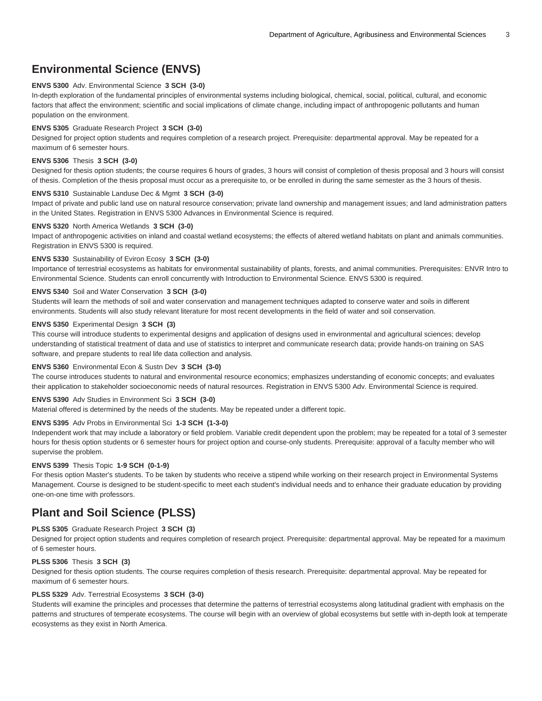# **Environmental Science (ENVS)**

#### **ENVS 5300** Adv. Environmental Science **3 SCH (3-0)**

In-depth exploration of the fundamental principles of environmental systems including biological, chemical, social, political, cultural, and economic factors that affect the environment; scientific and social implications of climate change, including impact of anthropogenic pollutants and human population on the environment.

#### **ENVS 5305** Graduate Research Project **3 SCH (3-0)**

Designed for project option students and requires completion of a research project. Prerequisite: departmental approval. May be repeated for a maximum of 6 semester hours.

#### **ENVS 5306** Thesis **3 SCH (3-0)**

Designed for thesis option students; the course requires 6 hours of grades, 3 hours will consist of completion of thesis proposal and 3 hours will consist of thesis. Completion of the thesis proposal must occur as a prerequisite to, or be enrolled in during the same semester as the 3 hours of thesis.

#### **ENVS 5310** Sustainable Landuse Dec & Mgmt **3 SCH (3-0)**

Impact of private and public land use on natural resource conservation; private land ownership and management issues; and land administration patters in the United States. Registration in ENVS 5300 Advances in Environmental Science is required.

#### **ENVS 5320** North America Wetlands **3 SCH (3-0)**

Impact of anthropogenic activities on inland and coastal wetland ecosystems; the effects of altered wetland habitats on plant and animals communities. Registration in ENVS 5300 is required.

#### **ENVS 5330** Sustainability of Eviron Ecosy **3 SCH (3-0)**

Importance of terrestrial ecosystems as habitats for environmental sustainability of plants, forests, and animal communities. Prerequisites: ENVR Intro to Environmental Science. Students can enroll concurrently with Introduction to Environmental Science. ENVS 5300 is required.

#### **ENVS 5340** Soil and Water Conservation **3 SCH (3-0)**

Students will learn the methods of soil and water conservation and management techniques adapted to conserve water and soils in different environments. Students will also study relevant literature for most recent developments in the field of water and soil conservation.

#### **ENVS 5350** Experimental Design **3 SCH (3)**

This course will introduce students to experimental designs and application of designs used in environmental and agricultural sciences; develop understanding of statistical treatment of data and use of statistics to interpret and communicate research data; provide hands-on training on SAS software, and prepare students to real life data collection and analysis.

#### **ENVS 5360** Environmental Econ & Sustn Dev **3 SCH (3-0)**

The course introduces students to natural and environmental resource economics; emphasizes understanding of economic concepts; and evaluates their application to stakeholder socioeconomic needs of natural resources. Registration in ENVS 5300 Adv. Environmental Science is required.

#### **ENVS 5390** Adv Studies in Environment Sci **3 SCH (3-0)**

Material offered is determined by the needs of the students. May be repeated under a different topic.

#### **ENVS 5395** Adv Probs in Environmental Sci **1-3 SCH (1-3-0)**

Independent work that may include a laboratory or field problem. Variable credit dependent upon the problem; may be repeated for a total of 3 semester hours for thesis option students or 6 semester hours for project option and course-only students. Prerequisite: approval of a faculty member who will supervise the problem.

#### **ENVS 5399** Thesis Topic **1-9 SCH (0-1-9)**

For thesis option Master's students. To be taken by students who receive a stipend while working on their research project in Environmental Systems Management. Course is designed to be student-specific to meet each student's individual needs and to enhance their graduate education by providing one-on-one time with professors.

### **Plant and Soil Science (PLSS)**

#### **PLSS 5305** Graduate Research Project **3 SCH (3)**

Designed for project option students and requires completion of research project. Prerequisite: departmental approval. May be repeated for a maximum of 6 semester hours.

#### **PLSS 5306** Thesis **3 SCH (3)**

Designed for thesis option students. The course requires completion of thesis research. Prerequisite: departmental approval. May be repeated for maximum of 6 semester hours.

#### **PLSS 5329** Adv. Terrestrial Ecosystems **3 SCH (3-0)**

Students will examine the principles and processes that determine the patterns of terrestrial ecosystems along latitudinal gradient with emphasis on the patterns and structures of temperate ecosystems. The course will begin with an overview of global ecosystems but settle with in-depth look at temperate ecosystems as they exist in North America.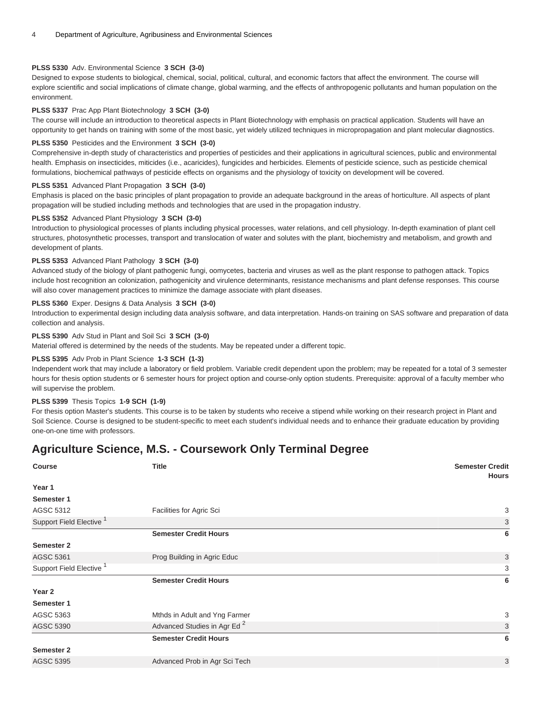#### **PLSS 5330** Adv. Environmental Science **3 SCH (3-0)**

Designed to expose students to biological, chemical, social, political, cultural, and economic factors that affect the environment. The course will explore scientific and social implications of climate change, global warming, and the effects of anthropogenic pollutants and human population on the environment.

#### **PLSS 5337** Prac App Plant Biotechnology **3 SCH (3-0)**

The course will include an introduction to theoretical aspects in Plant Biotechnology with emphasis on practical application. Students will have an opportunity to get hands on training with some of the most basic, yet widely utilized techniques in micropropagation and plant molecular diagnostics.

#### **PLSS 5350** Pesticides and the Environment **3 SCH (3-0)**

Comprehensive in-depth study of characteristics and properties of pesticides and their applications in agricultural sciences, public and environmental health. Emphasis on insecticides, miticides (i.e., acaricides), fungicides and herbicides. Elements of pesticide science, such as pesticide chemical formulations, biochemical pathways of pesticide effects on organisms and the physiology of toxicity on development will be covered.

#### **PLSS 5351** Advanced Plant Propagation **3 SCH (3-0)**

Emphasis is placed on the basic principles of plant propagation to provide an adequate background in the areas of horticulture. All aspects of plant propagation will be studied including methods and technologies that are used in the propagation industry.

#### **PLSS 5352** Advanced Plant Physiology **3 SCH (3-0)**

Introduction to physiological processes of plants including physical processes, water relations, and cell physiology. In-depth examination of plant cell structures, photosynthetic processes, transport and translocation of water and solutes with the plant, biochemistry and metabolism, and growth and development of plants.

#### **PLSS 5353** Advanced Plant Pathology **3 SCH (3-0)**

Advanced study of the biology of plant pathogenic fungi, oomycetes, bacteria and viruses as well as the plant response to pathogen attack. Topics include host recognition an colonization, pathogenicity and virulence determinants, resistance mechanisms and plant defense responses. This course will also cover management practices to minimize the damage associate with plant diseases.

#### **PLSS 5360** Exper. Designs & Data Analysis **3 SCH (3-0)**

Introduction to experimental design including data analysis software, and data interpretation. Hands-on training on SAS software and preparation of data collection and analysis.

#### **PLSS 5390** Adv Stud in Plant and Soil Sci **3 SCH (3-0)**

Material offered is determined by the needs of the students. May be repeated under a different topic.

#### **PLSS 5395** Adv Prob in Plant Science **1-3 SCH (1-3)**

Independent work that may include a laboratory or field problem. Variable credit dependent upon the problem; may be repeated for a total of 3 semester hours for thesis option students or 6 semester hours for project option and course-only option students. Prerequisite: approval of a faculty member who will supervise the problem.

#### **PLSS 5399** Thesis Topics **1-9 SCH (1-9)**

For thesis option Master's students. This course is to be taken by students who receive a stipend while working on their research project in Plant and Soil Science. Course is designed to be student-specific to meet each student's individual needs and to enhance their graduate education by providing one-on-one time with professors.

### **Agriculture Science, M.S. - Coursework Only Terminal Degree**

| <b>Course</b>                       | <b>Title</b>                            | <b>Semester Credit</b><br><b>Hours</b> |
|-------------------------------------|-----------------------------------------|----------------------------------------|
| Year 1                              |                                         |                                        |
| Semester 1                          |                                         |                                        |
| AGSC 5312                           | Facilities for Agric Sci                | 3                                      |
| Support Field Elective <sup>1</sup> |                                         | 3                                      |
|                                     | <b>Semester Credit Hours</b>            | 6                                      |
| Semester 2                          |                                         |                                        |
| <b>AGSC 5361</b>                    | Prog Building in Agric Educ             | 3                                      |
| Support Field Elective <sup>1</sup> |                                         | 3                                      |
|                                     | <b>Semester Credit Hours</b>            | 6                                      |
| Year 2                              |                                         |                                        |
| Semester 1                          |                                         |                                        |
| AGSC 5363                           | Mthds in Adult and Yng Farmer           | 3                                      |
| <b>AGSC 5390</b>                    | Advanced Studies in Agr Ed <sup>2</sup> | 3                                      |
|                                     | <b>Semester Credit Hours</b>            | 6                                      |
| Semester 2                          |                                         |                                        |
| <b>AGSC 5395</b>                    | Advanced Prob in Agr Sci Tech           | 3                                      |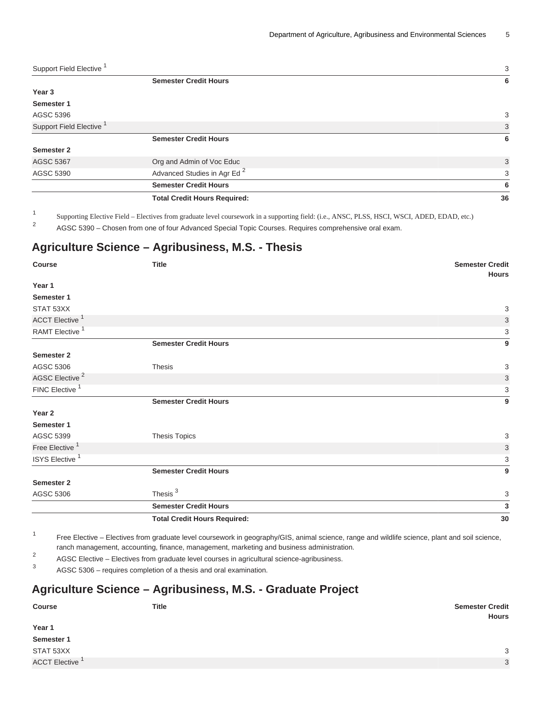| Support Field Elective              |                                         | 3  |
|-------------------------------------|-----------------------------------------|----|
|                                     | <b>Semester Credit Hours</b>            | 6  |
| Year 3                              |                                         |    |
| Semester 1                          |                                         |    |
| AGSC 5396                           |                                         | 3  |
| Support Field Elective <sup>1</sup> |                                         | 3  |
|                                     | <b>Semester Credit Hours</b>            | 6  |
| <b>Semester 2</b>                   |                                         |    |
| <b>AGSC 5367</b>                    | Org and Admin of Voc Educ               | 3  |
| AGSC 5390                           | Advanced Studies in Agr Ed <sup>2</sup> | 3  |
|                                     | <b>Semester Credit Hours</b>            | 6  |
|                                     | <b>Total Credit Hours Required:</b>     | 36 |
|                                     |                                         |    |

1 Supporting Elective Field – Electives from graduate level coursework in a supporting field: (i.e., ANSC, PLSS, HSCI, WSCI, ADED, EDAD, etc.) 2

AGSC 5390 – Chosen from one of four Advanced Special Topic Courses. Requires comprehensive oral exam.

# **Agriculture Science – Agribusiness, M.S. - Thesis**

| <b>Course</b>              | <b>Title</b>                                                                                                                                                                                                                  | <b>Semester Credit</b><br><b>Hours</b> |
|----------------------------|-------------------------------------------------------------------------------------------------------------------------------------------------------------------------------------------------------------------------------|----------------------------------------|
| Year 1                     |                                                                                                                                                                                                                               |                                        |
| Semester 1                 |                                                                                                                                                                                                                               |                                        |
| STAT 53XX                  |                                                                                                                                                                                                                               | $\ensuremath{\mathsf{3}}$              |
| ACCT Elective <sup>1</sup> |                                                                                                                                                                                                                               | $\sqrt{3}$                             |
| RAMT Elective <sup>1</sup> |                                                                                                                                                                                                                               | 3                                      |
|                            | <b>Semester Credit Hours</b>                                                                                                                                                                                                  | 9                                      |
| <b>Semester 2</b>          |                                                                                                                                                                                                                               |                                        |
| AGSC 5306                  | <b>Thesis</b>                                                                                                                                                                                                                 | 3                                      |
| AGSC Elective <sup>2</sup> |                                                                                                                                                                                                                               | $\ensuremath{\mathsf{3}}$              |
| FINC Elective <sup>1</sup> |                                                                                                                                                                                                                               | 3                                      |
|                            | <b>Semester Credit Hours</b>                                                                                                                                                                                                  | $\overline{9}$                         |
| Year 2                     |                                                                                                                                                                                                                               |                                        |
| Semester 1                 |                                                                                                                                                                                                                               |                                        |
| AGSC 5399                  | <b>Thesis Topics</b>                                                                                                                                                                                                          | $\ensuremath{\mathsf{3}}$              |
| Free Elective <sup>1</sup> |                                                                                                                                                                                                                               | $\ensuremath{\mathsf{3}}$              |
| ISYS Elective <sup>1</sup> |                                                                                                                                                                                                                               | 3                                      |
|                            | <b>Semester Credit Hours</b>                                                                                                                                                                                                  | 9                                      |
| <b>Semester 2</b>          |                                                                                                                                                                                                                               |                                        |
| AGSC 5306                  | Thesis <sup>3</sup>                                                                                                                                                                                                           | 3                                      |
|                            | <b>Semester Credit Hours</b>                                                                                                                                                                                                  | $\mathbf 3$                            |
|                            | <b>Total Credit Hours Required:</b>                                                                                                                                                                                           | 30                                     |
| $\mathbf{1}$               | The Province of Province for a substanting the construction of the second of the contract of a substanting of the second contract of the second second second services of the second second services of the second service of |                                        |

Free Elective – Electives from graduate level coursework in geography/GIS, animal science, range and wildlife science, plant and soil science, ranch management, accounting, finance, management, marketing and business administration.

2 AGSC Elective – Electives from graduate level courses in agricultural science-agribusiness.

3 AGSC 5306 – requires completion of a thesis and oral examination.

# **Agriculture Science – Agribusiness, M.S. - Graduate Project**

| <b>Course</b>        | <b>Title</b> | <b>Semester Credit</b><br><b>Hours</b> |
|----------------------|--------------|----------------------------------------|
| Year 1               |              |                                        |
| Semester 1           |              |                                        |
| STAT 53XX            |              | 3                                      |
| <b>ACCT Elective</b> |              | 3                                      |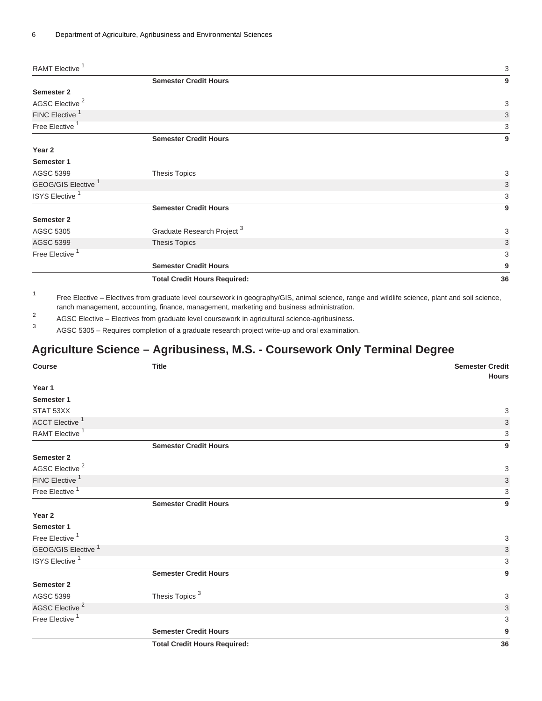| RAMT Elective <sup>1</sup>     |                                        | 3  |
|--------------------------------|----------------------------------------|----|
|                                | <b>Semester Credit Hours</b>           | 9  |
| Semester 2                     |                                        |    |
| AGSC Elective <sup>2</sup>     |                                        | 3  |
| FINC Elective <sup>1</sup>     |                                        | 3  |
| Free Elective <sup>1</sup>     |                                        | 3  |
|                                | <b>Semester Credit Hours</b>           | 9  |
| Year 2                         |                                        |    |
| Semester 1                     |                                        |    |
| AGSC 5399                      | <b>Thesis Topics</b>                   | 3  |
| GEOG/GIS Elective <sup>1</sup> |                                        | 3  |
| ISYS Elective <sup>1</sup>     |                                        | 3  |
|                                | <b>Semester Credit Hours</b>           | 9  |
| <b>Semester 2</b>              |                                        |    |
| AGSC 5305                      | Graduate Research Project <sup>3</sup> | 3  |
| <b>AGSC 5399</b>               | <b>Thesis Topics</b>                   | 3  |
| Free Elective <sup>1</sup>     |                                        | 3  |
|                                | <b>Semester Credit Hours</b>           | 9  |
|                                | <b>Total Credit Hours Required:</b>    | 36 |

1 Free Elective – Electives from graduate level coursework in geography/GIS, animal science, range and wildlife science, plant and soil science, ranch management, accounting, finance, management, marketing and business administration.

2 AGSC Elective – Electives from graduate level coursework in agricultural science-agribusiness.

3 AGSC 5305 – Requires completion of a graduate research project write-up and oral examination.

# **Agriculture Science – Agribusiness, M.S. - Coursework Only Terminal Degree**

| <b>Course</b>                  | <b>Title</b>                        | <b>Semester Credit</b>    |
|--------------------------------|-------------------------------------|---------------------------|
| Year 1                         |                                     | <b>Hours</b>              |
| Semester 1                     |                                     |                           |
| STAT 53XX                      |                                     | 3                         |
| ACCT Elective <sup>1</sup>     |                                     | $\ensuremath{\mathsf{3}}$ |
| RAMT Elective <sup>1</sup>     |                                     | 3                         |
|                                | <b>Semester Credit Hours</b>        | $\boldsymbol{9}$          |
| Semester 2                     |                                     |                           |
| AGSC Elective <sup>2</sup>     |                                     | 3                         |
| FINC Elective <sup>1</sup>     |                                     | $\ensuremath{\mathsf{3}}$ |
| Free Elective <sup>1</sup>     |                                     | 3                         |
|                                | <b>Semester Credit Hours</b>        | 9                         |
| Year 2                         |                                     |                           |
| Semester 1                     |                                     |                           |
| Free Elective <sup>1</sup>     |                                     | 3                         |
| GEOG/GIS Elective <sup>1</sup> |                                     | 3                         |
| ISYS Elective <sup>1</sup>     |                                     | 3                         |
|                                | <b>Semester Credit Hours</b>        | 9                         |
| <b>Semester 2</b>              |                                     |                           |
| AGSC 5399                      | Thesis Topics <sup>3</sup>          | $\ensuremath{\mathsf{3}}$ |
| AGSC Elective <sup>2</sup>     |                                     | $\ensuremath{\mathsf{3}}$ |
| Free Elective <sup>1</sup>     |                                     | 3                         |
|                                | <b>Semester Credit Hours</b>        | 9                         |
|                                | <b>Total Credit Hours Required:</b> | 36                        |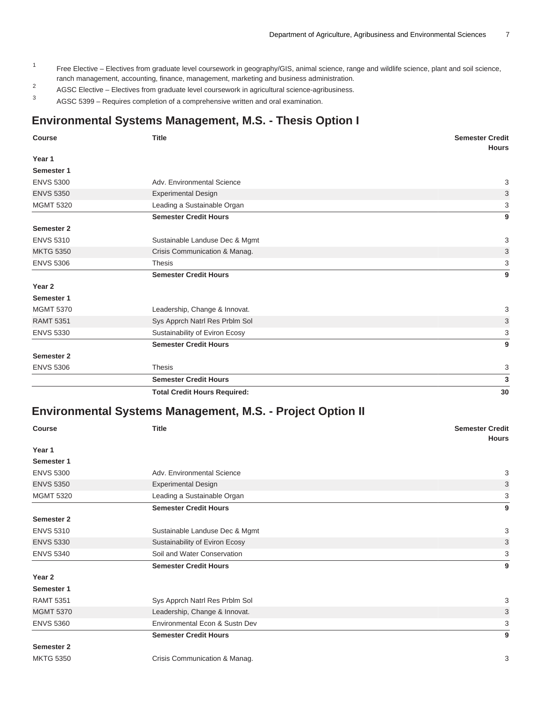- 1 Free Elective - Electives from graduate level coursework in geography/GIS, animal science, range and wildlife science, plant and soil science, ranch management, accounting, finance, management, marketing and business administration.
- 2 AGSC Elective – Electives from graduate level coursework in agricultural science-agribusiness.
- 3 AGSC 5399 – Requires completion of a comprehensive written and oral examination.

# **Environmental Systems Management, M.S. - Thesis Option I**

| <b>Course</b>     | <b>Title</b>                        | <b>Semester Credit</b><br><b>Hours</b> |
|-------------------|-------------------------------------|----------------------------------------|
| Year 1            |                                     |                                        |
| Semester 1        |                                     |                                        |
| <b>ENVS 5300</b>  | Adv. Environmental Science          | 3                                      |
| <b>ENVS 5350</b>  | <b>Experimental Design</b>          | 3                                      |
| <b>MGMT 5320</b>  | Leading a Sustainable Organ         | 3                                      |
|                   | <b>Semester Credit Hours</b>        | 9                                      |
| Semester 2        |                                     |                                        |
| <b>ENVS 5310</b>  | Sustainable Landuse Dec & Mgmt      | 3                                      |
| <b>MKTG 5350</b>  | Crisis Communication & Manag.       | 3                                      |
| <b>ENVS 5306</b>  | <b>Thesis</b>                       | 3                                      |
|                   | <b>Semester Credit Hours</b>        | 9                                      |
| Year <sub>2</sub> |                                     |                                        |
| Semester 1        |                                     |                                        |
| <b>MGMT 5370</b>  | Leadership, Change & Innovat.       | 3                                      |
| <b>RAMT 5351</b>  | Sys Apprch Natrl Res Prblm Sol      | 3                                      |
| <b>ENVS 5330</b>  | Sustainability of Eviron Ecosy      | 3                                      |
|                   | <b>Semester Credit Hours</b>        | 9                                      |
| <b>Semester 2</b> |                                     |                                        |
| <b>ENVS 5306</b>  | <b>Thesis</b>                       | 3                                      |
|                   | <b>Semester Credit Hours</b>        | 3                                      |
|                   | <b>Total Credit Hours Required:</b> | 30                                     |

### **Environmental Systems Management, M.S. - Project Option II**

| <b>Course</b>     | <b>Title</b>                   | <b>Semester Credit</b><br><b>Hours</b> |
|-------------------|--------------------------------|----------------------------------------|
| Year 1            |                                |                                        |
| Semester 1        |                                |                                        |
| <b>ENVS 5300</b>  | Adv. Environmental Science     | 3                                      |
| <b>ENVS 5350</b>  | <b>Experimental Design</b>     | 3                                      |
| <b>MGMT 5320</b>  | Leading a Sustainable Organ    | 3                                      |
|                   | <b>Semester Credit Hours</b>   | 9                                      |
| <b>Semester 2</b> |                                |                                        |
| <b>ENVS 5310</b>  | Sustainable Landuse Dec & Mgmt | 3                                      |
| <b>ENVS 5330</b>  | Sustainability of Eviron Ecosy | 3                                      |
| <b>ENVS 5340</b>  | Soil and Water Conservation    | 3                                      |
|                   | <b>Semester Credit Hours</b>   | 9                                      |
| Year 2            |                                |                                        |
| Semester 1        |                                |                                        |
| <b>RAMT 5351</b>  | Sys Apprch Natrl Res Prblm Sol | 3                                      |
| <b>MGMT 5370</b>  | Leadership, Change & Innovat.  | 3                                      |
| <b>ENVS 5360</b>  | Environmental Econ & Sustn Dev | 3                                      |
|                   | <b>Semester Credit Hours</b>   | 9                                      |
| <b>Semester 2</b> |                                |                                        |
| <b>MKTG 5350</b>  | Crisis Communication & Manag.  | 3                                      |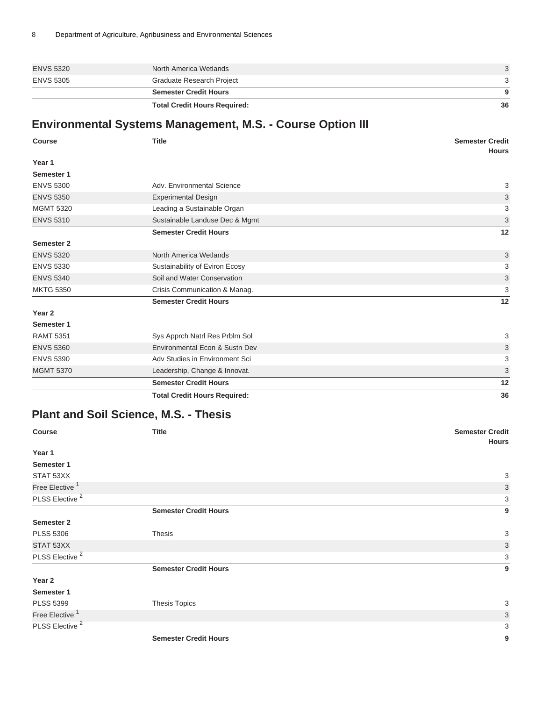|                  | <b>Total Credit Hours Required:</b> | 36 |
|------------------|-------------------------------------|----|
|                  | <b>Semester Credit Hours</b>        | -9 |
| <b>ENVS 5305</b> | Graduate Research Project           | 3  |
| <b>ENVS 5320</b> | North America Wetlands              |    |

# **Environmental Systems Management, M.S. - Course Option III**

| <b>Course</b>     | <b>Title</b>                        | <b>Semester Credit</b><br><b>Hours</b> |
|-------------------|-------------------------------------|----------------------------------------|
| Year 1            |                                     |                                        |
| Semester 1        |                                     |                                        |
| <b>ENVS 5300</b>  | Adv. Environmental Science          | 3                                      |
| <b>ENVS 5350</b>  | <b>Experimental Design</b>          | 3                                      |
| <b>MGMT 5320</b>  | Leading a Sustainable Organ         | 3                                      |
| <b>ENVS 5310</b>  | Sustainable Landuse Dec & Mgmt      | 3                                      |
|                   | <b>Semester Credit Hours</b>        | 12                                     |
| Semester 2        |                                     |                                        |
| <b>ENVS 5320</b>  | North America Wetlands              | 3                                      |
| <b>ENVS 5330</b>  | Sustainability of Eviron Ecosy      | 3                                      |
| <b>ENVS 5340</b>  | Soil and Water Conservation         | 3                                      |
| <b>MKTG 5350</b>  | Crisis Communication & Manag.       | 3                                      |
|                   | <b>Semester Credit Hours</b>        | 12                                     |
| Year <sub>2</sub> |                                     |                                        |
| Semester 1        |                                     |                                        |
| <b>RAMT 5351</b>  | Sys Apprch Natrl Res Prblm Sol      | 3                                      |
| <b>ENVS 5360</b>  | Environmental Econ & Sustn Dev      | 3                                      |
| <b>ENVS 5390</b>  | Adv Studies in Environment Sci      | 3                                      |
| <b>MGMT 5370</b>  | Leadership, Change & Innovat.       | 3                                      |
|                   | <b>Semester Credit Hours</b>        | 12                                     |
|                   | <b>Total Credit Hours Required:</b> | 36                                     |

# **Plant and Soil Science, M.S. - Thesis**

| Course                     | <b>Title</b>                 | <b>Semester Credit</b> |
|----------------------------|------------------------------|------------------------|
| Year 1                     |                              | <b>Hours</b>           |
| Semester 1                 |                              |                        |
| STAT 53XX                  |                              | 3                      |
| Free Elective <sup>1</sup> |                              | $\mathbf{3}$           |
| PLSS Elective <sup>2</sup> |                              | 3                      |
|                            | <b>Semester Credit Hours</b> | 9                      |
| Semester 2                 |                              |                        |
| <b>PLSS 5306</b>           | <b>Thesis</b>                | 3                      |
| STAT 53XX                  |                              | $\mathbf{3}$           |
| PLSS Elective <sup>2</sup> |                              | 3                      |
|                            | <b>Semester Credit Hours</b> | 9                      |
| Year 2                     |                              |                        |
| Semester 1                 |                              |                        |
| <b>PLSS 5399</b>           | <b>Thesis Topics</b>         | 3                      |
| Free Elective <sup>1</sup> |                              | 3                      |
| PLSS Elective <sup>2</sup> |                              | 3                      |
|                            | <b>Semester Credit Hours</b> | 9                      |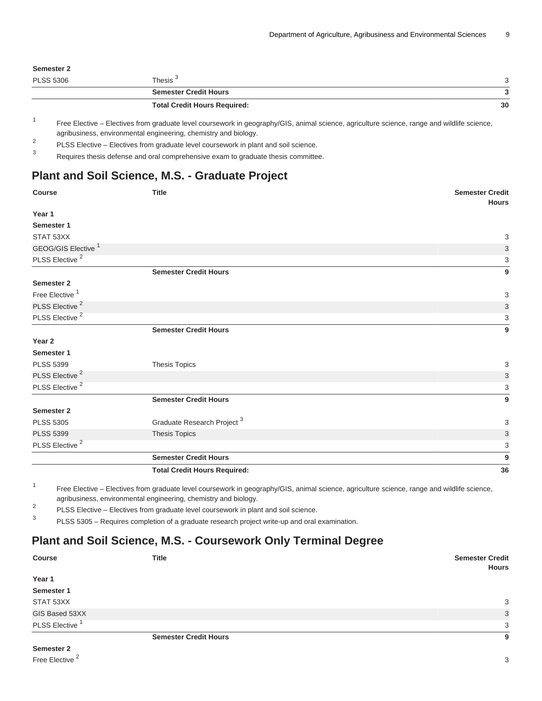#### **Semester 2**

| <b>PLSS 5306</b> | Thesis <sup>3</sup>                 |    |
|------------------|-------------------------------------|----|
|                  | <b>Semester Credit Hours</b>        |    |
|                  | <b>Total Credit Hours Required:</b> | 30 |

1 Free Elective – Electives from graduate level coursework in geography/GIS, animal science, agriculture science, range and wildlife science, agribusiness, environmental engineering, chemistry and biology.

2 PLSS Elective – Electives from graduate level coursework in plant and soil science.

3 Requires thesis defense and oral comprehensive exam to graduate thesis committee.

## **Plant and Soil Science, M.S. - Graduate Project**

| <b>Course</b>                  | <b>Title</b>                           | <b>Semester Credit</b><br><b>Hours</b> |
|--------------------------------|----------------------------------------|----------------------------------------|
| Year 1                         |                                        |                                        |
| Semester 1                     |                                        |                                        |
| STAT 53XX                      |                                        | 3                                      |
| GEOG/GIS Elective <sup>1</sup> |                                        | 3                                      |
| PLSS Elective <sup>2</sup>     |                                        | 3                                      |
|                                | <b>Semester Credit Hours</b>           | 9                                      |
| <b>Semester 2</b>              |                                        |                                        |
| Free Elective <sup>1</sup>     |                                        | 3                                      |
| PLSS Elective <sup>2</sup>     |                                        | 3                                      |
| PLSS Elective <sup>2</sup>     |                                        | 3                                      |
|                                | <b>Semester Credit Hours</b>           | 9                                      |
| Year 2                         |                                        |                                        |
| Semester 1                     |                                        |                                        |
| <b>PLSS 5399</b>               | Thesis Topics                          | 3                                      |
| PLSS Elective <sup>2</sup>     |                                        | 3                                      |
| PLSS Elective <sup>2</sup>     |                                        | 3                                      |
|                                | <b>Semester Credit Hours</b>           | 9                                      |
| <b>Semester 2</b>              |                                        |                                        |
| <b>PLSS 5305</b>               | Graduate Research Project <sup>3</sup> | 3                                      |
| <b>PLSS 5399</b>               | <b>Thesis Topics</b>                   | 3                                      |
| PLSS Elective <sup>2</sup>     |                                        | 3                                      |
|                                | <b>Semester Credit Hours</b>           | 9                                      |
|                                | <b>Total Credit Hours Required:</b>    | 36                                     |

1 Free Elective – Electives from graduate level coursework in geography/GIS, animal science, agriculture science, range and wildlife science, agribusiness, environmental engineering, chemistry and biology.

2 PLSS Elective – Electives from graduate level coursework in plant and soil science.

3 PLSS 5305 – Requires completion of a graduate research project write-up and oral examination.

# **Plant and Soil Science, M.S. - Coursework Only Terminal Degree**

| <b>Course</b>              | <b>Title</b>                 | <b>Semester Credit</b><br><b>Hours</b> |
|----------------------------|------------------------------|----------------------------------------|
| Year 1                     |                              |                                        |
| Semester 1                 |                              |                                        |
| STAT 53XX                  |                              | 3                                      |
| GIS Based 53XX             |                              | 3                                      |
| PLSS Elective <sup>1</sup> |                              | 3                                      |
|                            | <b>Semester Credit Hours</b> | 9                                      |

**Semester 2** Free Elective <sup>2</sup>